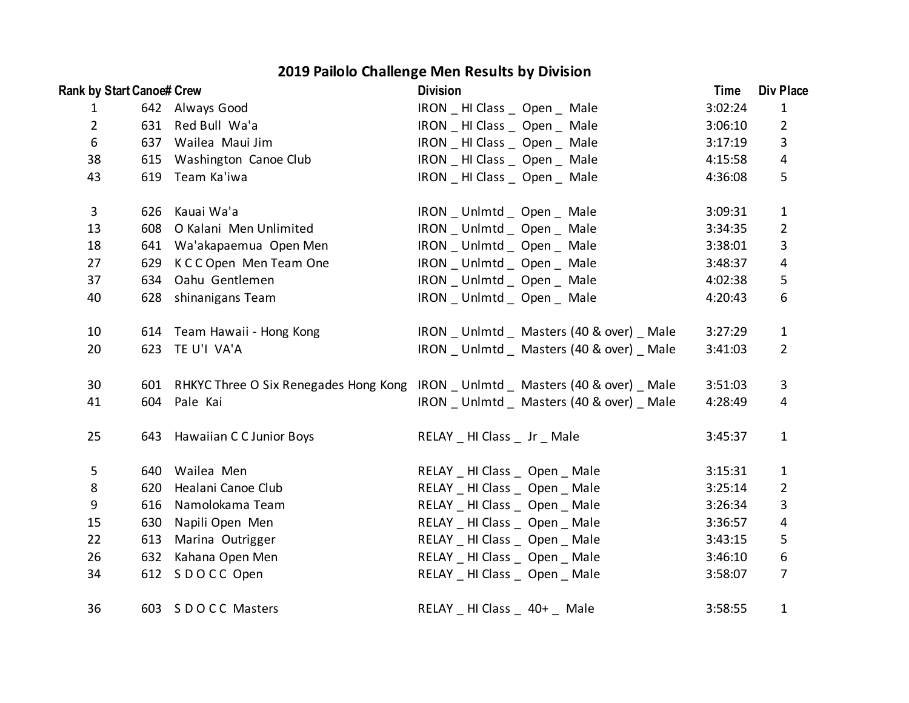## **2019 Pailolo Challenge Men Results by Division**

| <b>Rank by Start Canoe# Crew</b> |     |                              | <b>Division</b>                                                                | Time    | Div Place        |
|----------------------------------|-----|------------------------------|--------------------------------------------------------------------------------|---------|------------------|
| $\mathbf{1}$                     |     | 642 Always Good              | IRON _ HI Class _ Open _ Male                                                  | 3:02:24 | $\mathbf{1}$     |
| $\overline{2}$                   |     | 631 Red Bull Wa'a            | IRON _ HI Class _ Open _ Male                                                  | 3:06:10 | $\overline{2}$   |
| 6                                |     | 637 Wailea Maui Jim          | IRON HI Class Open Male                                                        | 3:17:19 | 3                |
| 38                               |     | 615 Washington Canoe Club    | IRON _ HI Class _ Open _ Male                                                  | 4:15:58 | $\overline{a}$   |
| 43                               |     | 619 Team Ka'iwa              | IRON HI Class Open Male                                                        | 4:36:08 | 5                |
| $\mathbf{3}$                     |     | 626 Kauai Wa'a               | IRON _ Unlmtd _ Open _ Male                                                    | 3:09:31 | $\mathbf{1}$     |
| 13                               |     | 608 O Kalani Men Unlimited   | IRON Unlmtd Open Male                                                          | 3:34:35 | $\overline{2}$   |
| 18                               |     | 641 Wa'akapaemua Open Men    | IRON _ Unlmtd _ Open _ Male                                                    | 3:38:01 | $\mathbf{3}$     |
| 27                               |     | 629 K C C Open Men Team One  | IRON _ Unlmtd _ Open _ Male                                                    | 3:48:37 | $\overline{a}$   |
| 37                               |     | 634 Oahu Gentlemen           | IRON _ Unlmtd _ Open _ Male                                                    | 4:02:38 | $\mathsf S$      |
| 40                               |     | 628 shinanigans Team         | IRON _ Unlmtd _ Open _ Male                                                    | 4:20:43 | $\boldsymbol{6}$ |
| 10                               |     | 614 Team Hawaii - Hong Kong  | IRON Unlmtd _ Masters (40 & over) _ Male                                       | 3:27:29 | $\mathbf{1}$     |
| 20                               |     | 623 TE U'I VA'A              | IRON Unlmtd Masters (40 & over) Male                                           | 3:41:03 | $\overline{2}$   |
| 30                               |     |                              | 601 RHKYC Three O Six Renegades Hong Kong IRON Unlmtd Masters (40 & over) Male | 3:51:03 | 3                |
| 41                               |     | 604 Pale Kai                 | IRON Unlmtd Masters (40 & over) Male                                           | 4:28:49 | 4                |
| 25                               |     | 643 Hawaiian C C Junior Boys | RELAY _ HI Class _ Jr _ Male                                                   | 3:45:37 | $\mathbf{1}$     |
| 5                                |     | 640 Wailea Men               | RELAY HI Class Open Male                                                       | 3:15:31 | $\mathbf{1}$     |
| 8                                |     | 620 Healani Canoe Club       | RELAY HI Class Open Male                                                       | 3:25:14 | $\overline{2}$   |
| $\boldsymbol{9}$                 | 616 | Namolokama Team              | RELAY HI Class Open Male                                                       | 3:26:34 | 3                |
| 15                               |     | 630 Napili Open Men          | RELAY _ HI Class _ Open _ Male                                                 | 3:36:57 | $\overline{4}$   |
| 22                               | 613 | Marina Outrigger             | RELAY HI Class Open Male                                                       | 3:43:15 | 5                |
| 26                               |     | 632 Kahana Open Men          | RELAY _ HI Class _ Open _ Male                                                 | 3:46:10 | $\boldsymbol{6}$ |
| 34                               |     | 612 SDOCC Open               | RELAY _ HI Class _ Open _ Male                                                 | 3:58:07 | $\overline{7}$   |
| 36                               |     | 603 SDOCC Masters            | RELAY<br>HI Class<br>$40+$<br>Male                                             | 3:58:55 | $\mathbf{1}$     |